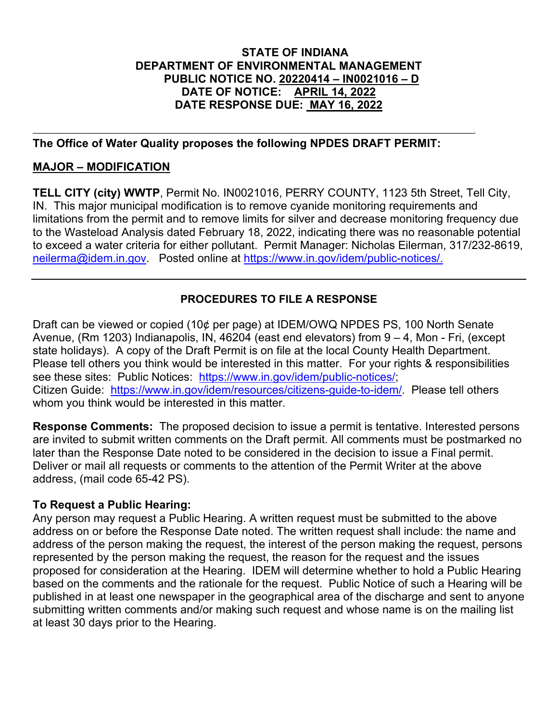## **STATE OF INDIANA DEPARTMENT OF ENVIRONMENTAL MANAGEMENT PUBLIC NOTICE NO. 20220414 – IN0021016 – D DATE OF NOTICE: APRIL 14, 2022 DATE RESPONSE DUE: MAY 16, 2022**

## **The Office of Water Quality proposes the following NPDES DRAFT PERMIT:**

,他们的人们就是一个人的人,他们的人们都是不是一个人的人,他们的人们都是不是一个人的人,他们的人们都是不是一个人的人,他们的人们都是不是一个人的人,他们的人们也

## **MAJOR – MODIFICATION**

**TELL CITY (city) WWTP**, Permit No. IN0021016, PERRY COUNTY, 1123 5th Street, Tell City, IN. This major municipal modification is to remove cyanide monitoring requirements and limitations from the permit and to remove limits for silver and decrease monitoring frequency due to the Wasteload Analysis dated February 18, 2022, indicating there was no reasonable potential to exceed a water criteria for either pollutant. Permit Manager: Nicholas Eilerman, 317/232-8619, [neilerma@idem.in.gov.](mailto:neilerma@idem.in.gov) Posted online at [https://www.in.gov/idem/public-notices/.](https://www.in.gov/idem/public-notices/)

# **PROCEDURES TO FILE A RESPONSE**

Draft can be viewed or copied (10¢ per page) at IDEM/OWQ NPDES PS, 100 North Senate Avenue, (Rm 1203) Indianapolis, IN, 46204 (east end elevators) from 9 – 4, Mon - Fri, (except state holidays). A copy of the Draft Permit is on file at the local County Health Department. Please tell others you think would be interested in this matter. For your rights & responsibilities see these sites: Public Notices: [https://www.in.gov/idem/public-notices/;](https://www.in.gov/idem/public-notices/) Citizen Guide: [https://www.in.gov/idem/resources/citizens-guide-to-idem/.](https://www.in.gov/idem/resources/citizens-guide-to-idem/) Please tell others whom you think would be interested in this matter.

**Response Comments:** The proposed decision to issue a permit is tentative. Interested persons are invited to submit written comments on the Draft permit. All comments must be postmarked no later than the Response Date noted to be considered in the decision to issue a Final permit. Deliver or mail all requests or comments to the attention of the Permit Writer at the above address, (mail code 65-42 PS).

## **To Request a Public Hearing:**

Any person may request a Public Hearing. A written request must be submitted to the above address on or before the Response Date noted. The written request shall include: the name and address of the person making the request, the interest of the person making the request, persons represented by the person making the request, the reason for the request and the issues proposed for consideration at the Hearing. IDEM will determine whether to hold a Public Hearing based on the comments and the rationale for the request. Public Notice of such a Hearing will be published in at least one newspaper in the geographical area of the discharge and sent to anyone submitting written comments and/or making such request and whose name is on the mailing list at least 30 days prior to the Hearing.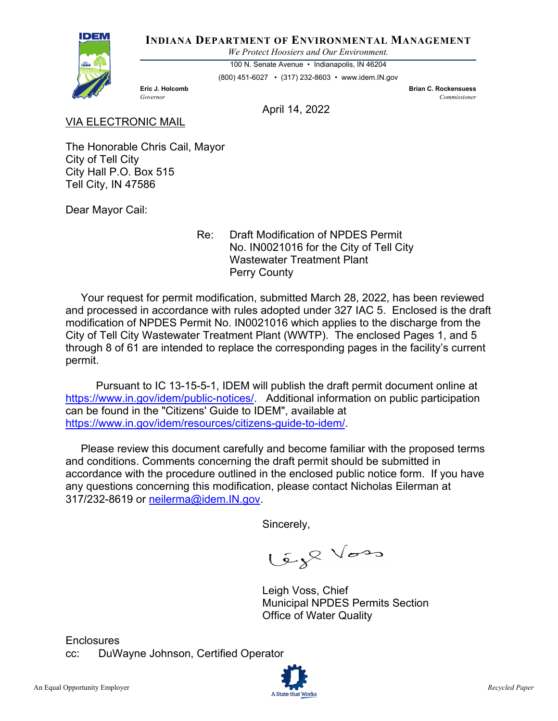

**INDIANA DEPARTMENT OF ENVIRONMENTAL MANAGEMENT**

*We Protect Hoosiers and Our Environment.*

100 N. Senate Avenue • Indianapolis, IN 46204

(800) 451-6027 • (317) 232-8603 • www.idem.IN.gov

**Eric J. Holcomb Brian C. Rockensuess** *Governor Commissioner* 

April 14, 2022

### VIA ELECTRONIC MAIL

The Honorable Chris Cail, Mayor City of Tell City City Hall P.O. Box 515 Tell City, IN 47586

Dear Mayor Cail:

 Re: Draft Modification of NPDES Permit No. IN0021016 for the City of Tell City Wastewater Treatment Plant Perry County

 Your request for permit modification, submitted March 28, 2022, has been reviewed and processed in accordance with rules adopted under 327 IAC 5. Enclosed is the draft modification of NPDES Permit No. IN0021016 which applies to the discharge from the City of Tell City Wastewater Treatment Plant (WWTP). The enclosed Pages 1, and 5 through 8 of 61 are intended to replace the corresponding pages in the facility's current permit.

 Pursuant to IC 13-15-5-1, IDEM will publish the draft permit document online at [https://www.in.gov/idem/public-notices/.](https://www.in.gov/idem/public-notices/) Additional information on public participation can be found in the "Citizens' Guide to IDEM", available at [https://www.in.gov/idem/resources/citizens-guide-to-idem/.](https://www.in.gov/idem/resources/citizens-guide-to-idem/)

 Please review this document carefully and become familiar with the proposed terms and conditions. Comments concerning the draft permit should be submitted in accordance with the procedure outlined in the enclosed public notice form. If you have any questions concerning this modification, please contact Nicholas Eilerman at 317/232-8619 or neilerma@idem.IN.gov.

Sincerely,

Cap Vos

Leigh Voss, Chief Municipal NPDES Permits Section Office of Water Quality

**Enclosures** cc: DuWayne Johnson, Certified Operator

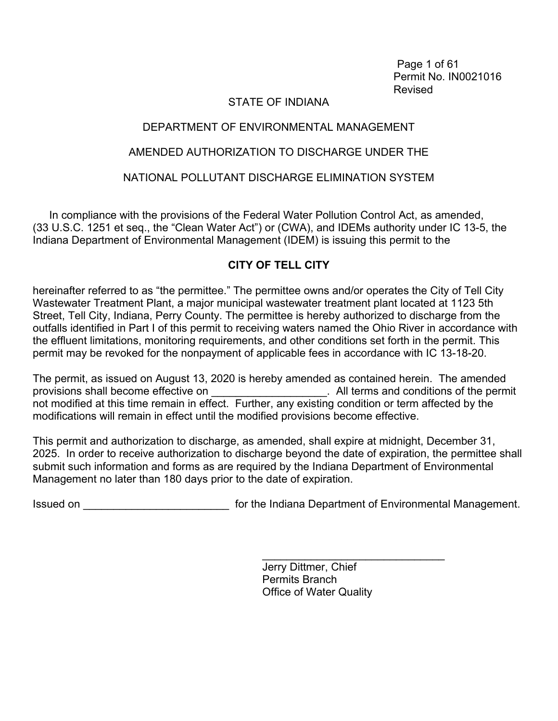Page 1 of 61 Permit No. IN0021016 Revised

## STATE OF INDIANA

## DEPARTMENT OF ENVIRONMENTAL MANAGEMENT

## AMENDED AUTHORIZATION TO DISCHARGE UNDER THE

## NATIONAL POLLUTANT DISCHARGE ELIMINATION SYSTEM

In compliance with the provisions of the Federal Water Pollution Control Act, as amended, (33 U.S.C. 1251 et seq., the "Clean Water Act") or (CWA), and IDEMs authority under IC 13-5, the Indiana Department of Environmental Management (IDEM) is issuing this permit to the

## **CITY OF TELL CITY**

hereinafter referred to as "the permittee." The permittee owns and/or operates the City of Tell City Wastewater Treatment Plant, a major municipal wastewater treatment plant located at 1123 5th Street, Tell City, Indiana, Perry County. The permittee is hereby authorized to discharge from the outfalls identified in Part I of this permit to receiving waters named the Ohio River in accordance with the effluent limitations, monitoring requirements, and other conditions set forth in the permit. This permit may be revoked for the nonpayment of applicable fees in accordance with IC 13-18-20.

The permit, as issued on August 13, 2020 is hereby amended as contained herein. The amended provisions shall become effective on **Example 20** All terms and conditions of the permit not modified at this time remain in effect. Further, any existing condition or term affected by the modifications will remain in effect until the modified provisions become effective.

This permit and authorization to discharge, as amended, shall expire at midnight, December 31, 2025. In order to receive authorization to discharge beyond the date of expiration, the permittee shall submit such information and forms as are required by the Indiana Department of Environmental Management no later than 180 days prior to the date of expiration.

Issued on **Interprettive Connect Act Connect** for the Indiana Department of Environmental Management.

Jerry Dittmer, Chief Permits Branch Office of Water Quality

\_\_\_\_\_\_\_\_\_\_\_\_\_\_\_\_\_\_\_\_\_\_\_\_\_\_\_\_\_\_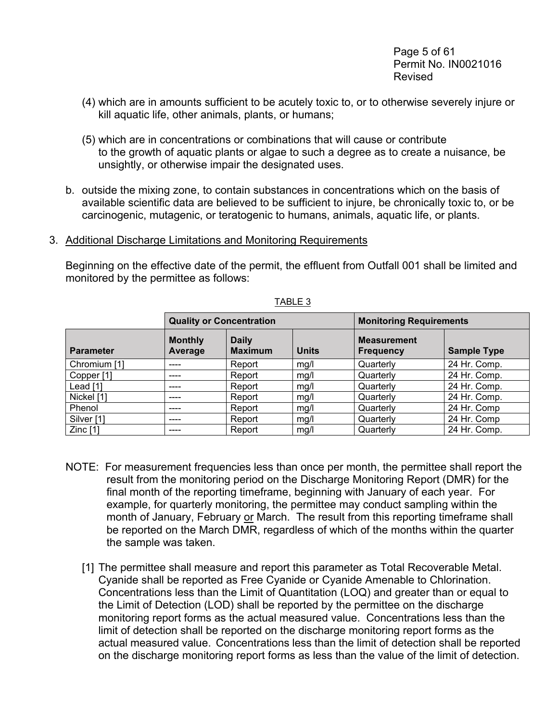- (4) which are in amounts sufficient to be acutely toxic to, or to otherwise severely injure or kill aquatic life, other animals, plants, or humans;
- (5) which are in concentrations or combinations that will cause or contribute to the growth of aquatic plants or algae to such a degree as to create a nuisance, be unsightly, or otherwise impair the designated uses.
- b. outside the mixing zone, to contain substances in concentrations which on the basis of available scientific data are believed to be sufficient to injure, be chronically toxic to, or be carcinogenic, mutagenic, or teratogenic to humans, animals, aquatic life, or plants.
- 3. Additional Discharge Limitations and Monitoring Requirements

Beginning on the effective date of the permit, the effluent from Outfall 001 shall be limited and monitored by the permittee as follows:

|                       | <b>Quality or Concentration</b> |                                |              | <b>Monitoring Requirements</b>         |                    |  |
|-----------------------|---------------------------------|--------------------------------|--------------|----------------------------------------|--------------------|--|
| <b>Parameter</b>      | <b>Monthly</b><br>Average       | <b>Daily</b><br><b>Maximum</b> | <b>Units</b> | <b>Measurement</b><br><b>Frequency</b> | <b>Sample Type</b> |  |
| Chromium [1]          | ----                            | Report                         | mg/l         | Quarterly                              | 24 Hr. Comp.       |  |
| Copper <sup>[1]</sup> | ----                            | Report                         | mg/l         | Quarterly                              | 24 Hr. Comp.       |  |
| Lead [1]              | ----                            | Report                         | mg/l         | Quarterly                              | 24 Hr. Comp.       |  |
| Nickel [1]            | ----                            | Report                         | mq/l         | Quarterly                              | 24 Hr. Comp.       |  |
| Phenol                | ----                            | Report                         | mg/l         | Quarterly                              | 24 Hr. Comp        |  |
| Silver [1]            | ----                            | Report                         | mg/l         | Quarterly                              | 24 Hr. Comp        |  |
| Zinc $[1]$            | ----                            | Report                         | mg/l         | Quarterly                              | 24 Hr. Comp.       |  |

TABLE 3

- NOTE: For measurement frequencies less than once per month, the permittee shall report the result from the monitoring period on the Discharge Monitoring Report (DMR) for the final month of the reporting timeframe, beginning with January of each year. For example, for quarterly monitoring, the permittee may conduct sampling within the month of January, February or March. The result from this reporting timeframe shall be reported on the March DMR, regardless of which of the months within the quarter the sample was taken.
	- [1] The permittee shall measure and report this parameter as Total Recoverable Metal. Cyanide shall be reported as Free Cyanide or Cyanide Amenable to Chlorination. Concentrations less than the Limit of Quantitation (LOQ) and greater than or equal to the Limit of Detection (LOD) shall be reported by the permittee on the discharge monitoring report forms as the actual measured value. Concentrations less than the limit of detection shall be reported on the discharge monitoring report forms as the actual measured value. Concentrations less than the limit of detection shall be reported on the discharge monitoring report forms as less than the value of the limit of detection.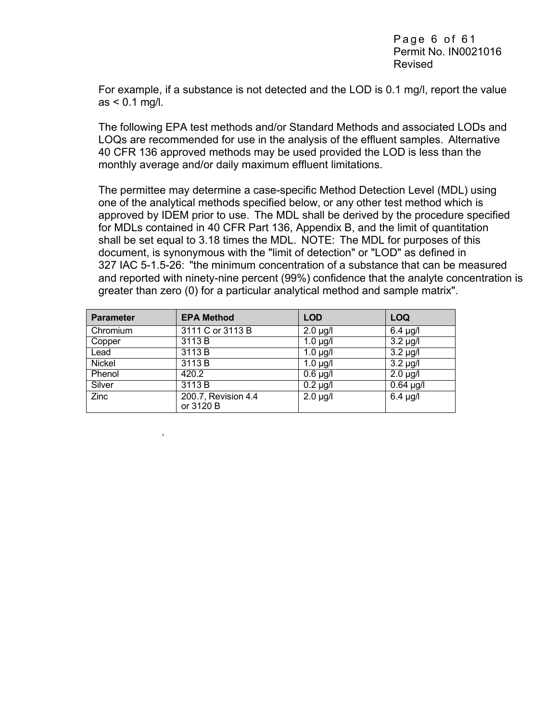For example, if a substance is not detected and the LOD is 0.1 mg/l, report the value as < 0.1 mg/l.

The following EPA test methods and/or Standard Methods and associated LODs and LOQs are recommended for use in the analysis of the effluent samples. Alternative 40 CFR 136 approved methods may be used provided the LOD is less than the monthly average and/or daily maximum effluent limitations.

The permittee may determine a case-specific Method Detection Level (MDL) using one of the analytical methods specified below, or any other test method which is approved by IDEM prior to use. The MDL shall be derived by the procedure specified for MDLs contained in 40 CFR Part 136, Appendix B, and the limit of quantitation shall be set equal to 3.18 times the MDL. NOTE: The MDL for purposes of this document, is synonymous with the "limit of detection" or "LOD" as defined in 327 IAC 5-1.5-26: "the minimum concentration of a substance that can be measured and reported with ninety-nine percent (99%) confidence that the analyte concentration is greater than zero (0) for a particular analytical method and sample matrix".

| <b>Parameter</b> | <b>EPA Method</b>                | <b>LOD</b>             | <b>LOQ</b>              |
|------------------|----------------------------------|------------------------|-------------------------|
| Chromium         | 3111 C or 3113 B                 | $2.0 \mu g/l$          | $\overline{6.4}$ µg/l   |
| Copper           | 3113 B                           | $1.0 \mu g/l$          | $\overline{3.2}$ µg/l   |
| Lead             | 3113 B                           | $1.0 \mu g/l$          | $\overline{3.2}$ µg/l   |
| Nickel           | 3113 B                           | $1.0 \mu g/l$          | $\overline{3.2}$ µg/l   |
| Phenol           | 420.2                            | $\overline{0.6}$ µg/l  | $\overline{2}$ .0 µg/l  |
| Silver           | 3113 B                           | $\overline{0}$ .2 µg/l | $\overline{0}$ .64 µg/l |
| Zinc             | 200.7, Revision 4.4<br>or 3120 B | $2.0 \mu g/l$          | $6.4 \mu g/l$           |

.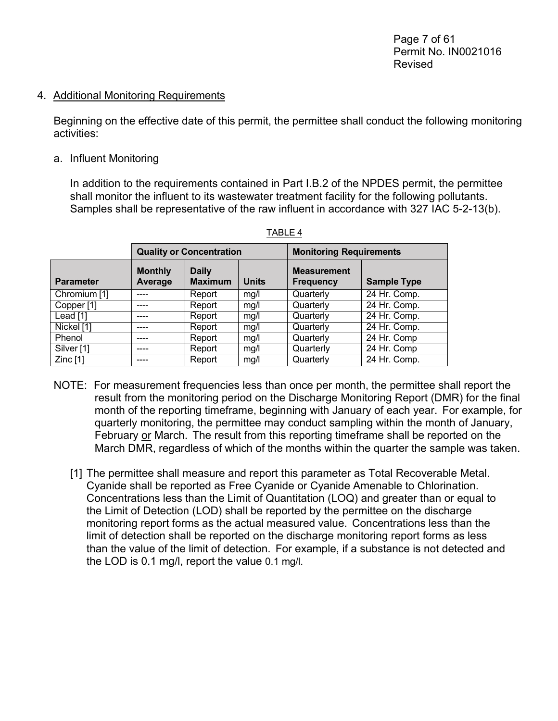#### 4. Additional Monitoring Requirements

Beginning on the effective date of this permit, the permittee shall conduct the following monitoring activities:

#### a. Influent Monitoring

In addition to the requirements contained in Part I.B.2 of the NPDES permit, the permittee shall monitor the influent to its wastewater treatment facility for the following pollutants. Samples shall be representative of the raw influent in accordance with 327 IAC 5-2-13(b).

|                       | <b>Quality or Concentration</b> |                                |              | <b>Monitoring Requirements</b>         |                    |  |
|-----------------------|---------------------------------|--------------------------------|--------------|----------------------------------------|--------------------|--|
| <b>Parameter</b>      | <b>Monthly</b><br>Average       | <b>Daily</b><br><b>Maximum</b> | <b>Units</b> | <b>Measurement</b><br><b>Frequency</b> | <b>Sample Type</b> |  |
| Chromium [1]          | ----                            | Report                         | mg/l         | Quarterly                              | 24 Hr. Comp.       |  |
| Copper <sup>[1]</sup> |                                 | Report                         | mg/l         | Quarterly                              | 24 Hr. Comp.       |  |
| Lead [1]              | ----                            | Report                         | mg/l         | Quarterly                              | 24 Hr. Comp.       |  |
| Nickel [1]            | ----                            | Report                         | mq/l         | Quarterly                              | 24 Hr. Comp.       |  |
| Phenol                | ----                            | Report                         | mg/l         | Quarterly                              | 24 Hr. Comp        |  |
| Silver [1]            | ----                            | Report                         | mg/l         | Quarterly                              | 24 Hr. Comp        |  |
| Zinc $[1]$            | ----                            | Report                         | mg/l         | Quarterly                              | 24 Hr. Comp.       |  |

- NOTE: For measurement frequencies less than once per month, the permittee shall report the result from the monitoring period on the Discharge Monitoring Report (DMR) for the final month of the reporting timeframe, beginning with January of each year. For example, for quarterly monitoring, the permittee may conduct sampling within the month of January, February or March. The result from this reporting timeframe shall be reported on the March DMR, regardless of which of the months within the quarter the sample was taken.
	- [1] The permittee shall measure and report this parameter as Total Recoverable Metal. Cyanide shall be reported as Free Cyanide or Cyanide Amenable to Chlorination. Concentrations less than the Limit of Quantitation (LOQ) and greater than or equal to the Limit of Detection (LOD) shall be reported by the permittee on the discharge monitoring report forms as the actual measured value. Concentrations less than the limit of detection shall be reported on the discharge monitoring report forms as less than the value of the limit of detection. For example, if a substance is not detected and the LOD is 0.1 mg/l, report the value 0.1 mg/l.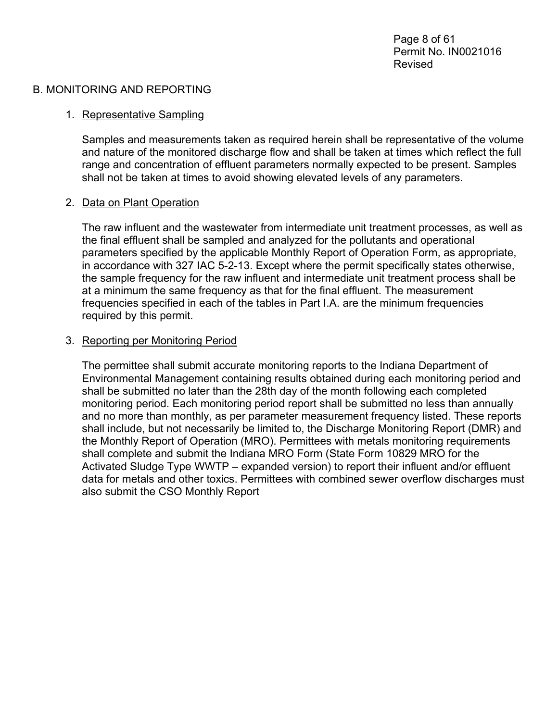#### B. MONITORING AND REPORTING

## 1. Representative Sampling

Samples and measurements taken as required herein shall be representative of the volume and nature of the monitored discharge flow and shall be taken at times which reflect the full range and concentration of effluent parameters normally expected to be present. Samples shall not be taken at times to avoid showing elevated levels of any parameters.

### 2. Data on Plant Operation

The raw influent and the wastewater from intermediate unit treatment processes, as well as the final effluent shall be sampled and analyzed for the pollutants and operational parameters specified by the applicable Monthly Report of Operation Form, as appropriate, in accordance with 327 IAC 5-2-13. Except where the permit specifically states otherwise, the sample frequency for the raw influent and intermediate unit treatment process shall be at a minimum the same frequency as that for the final effluent. The measurement frequencies specified in each of the tables in Part I.A. are the minimum frequencies required by this permit.

#### 3. Reporting per Monitoring Period

The permittee shall submit accurate monitoring reports to the Indiana Department of Environmental Management containing results obtained during each monitoring period and shall be submitted no later than the 28th day of the month following each completed monitoring period. Each monitoring period report shall be submitted no less than annually and no more than monthly, as per parameter measurement frequency listed. These reports shall include, but not necessarily be limited to, the Discharge Monitoring Report (DMR) and the Monthly Report of Operation (MRO). Permittees with metals monitoring requirements shall complete and submit the Indiana MRO Form (State Form 10829 MRO for the Activated Sludge Type WWTP – expanded version) to report their influent and/or effluent data for metals and other toxics. Permittees with combined sewer overflow discharges must also submit the CSO Monthly Report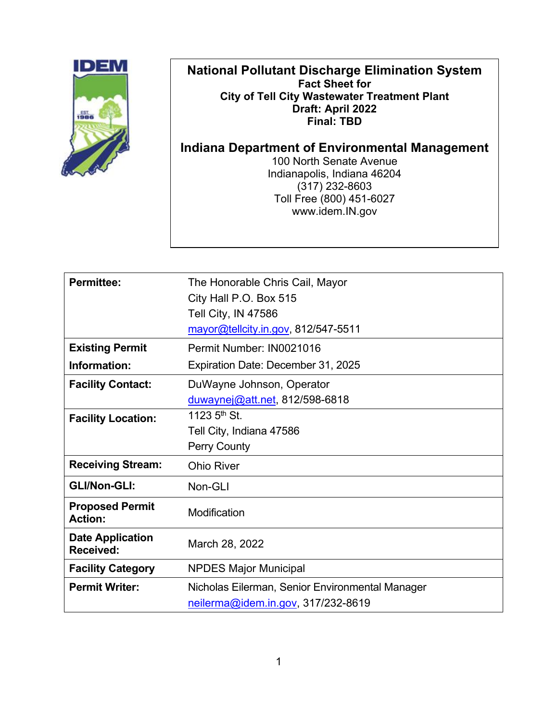| <b>National Pollutant Discharge Elimination System</b><br><b>Fact Sheet for</b><br><b>City of Tell City Wastewater Treatment Plant</b><br>Draft: April 2022<br><b>Final: TBD</b> |  |  |  |
|----------------------------------------------------------------------------------------------------------------------------------------------------------------------------------|--|--|--|
| Indiana Department of Environmental Management<br>100 North Senate Avenue<br>Indianapolis, Indiana 46204<br>$(317)$ 232-8603<br>Toll Free (800) 451-6027<br>www.idem.IN.gov      |  |  |  |

| <b>Permittee:</b>                        | The Honorable Chris Cail, Mayor                 |  |
|------------------------------------------|-------------------------------------------------|--|
|                                          | City Hall P.O. Box 515                          |  |
|                                          | Tell City, IN 47586                             |  |
|                                          | mayor@tellcity.in.gov, 812/547-5511             |  |
| <b>Existing Permit</b>                   | Permit Number: IN0021016                        |  |
| Information:                             | Expiration Date: December 31, 2025              |  |
| <b>Facility Contact:</b>                 | DuWayne Johnson, Operator                       |  |
|                                          | duwaynej@att.net, 812/598-6818                  |  |
| <b>Facility Location:</b>                | 1123 $5th$ St.                                  |  |
|                                          | Tell City, Indiana 47586                        |  |
|                                          | <b>Perry County</b>                             |  |
| <b>Receiving Stream:</b>                 | <b>Ohio River</b>                               |  |
| <b>GLI/Non-GLI:</b>                      | Non-GLI                                         |  |
| <b>Proposed Permit</b><br><b>Action:</b> | Modification                                    |  |
| <b>Date Application</b><br>Received:     | March 28, 2022                                  |  |
| <b>Facility Category</b>                 | <b>NPDES Major Municipal</b>                    |  |
| <b>Permit Writer:</b>                    | Nicholas Eilerman, Senior Environmental Manager |  |
|                                          | neilerma@idem.in.gov, 317/232-8619              |  |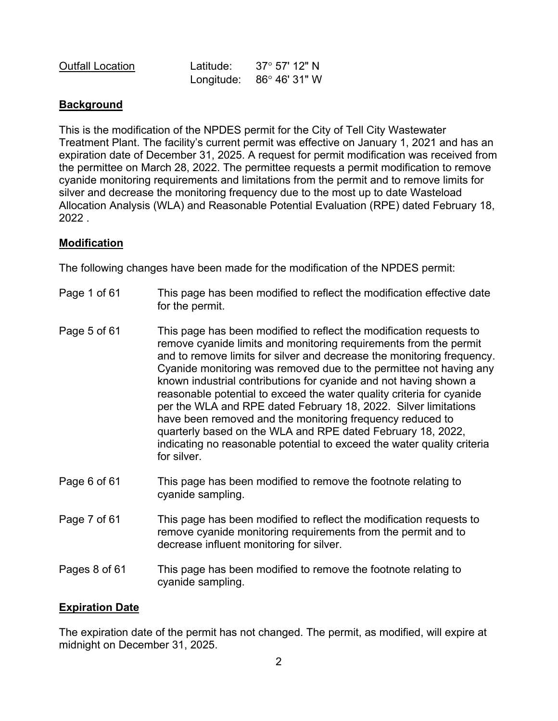| <b>Outfall Location</b> | Latitude: | $37^\circ$ 57' 12" N             |
|-------------------------|-----------|----------------------------------|
|                         |           | Longitude: $86^\circ 46' 31'' W$ |

## **Background**

This is the modification of the NPDES permit for the City of Tell City Wastewater Treatment Plant. The facility's current permit was effective on January 1, 2021 and has an expiration date of December 31, 2025. A request for permit modification was received from the permittee on March 28, 2022. The permittee requests a permit modification to remove cyanide monitoring requirements and limitations from the permit and to remove limits for silver and decrease the monitoring frequency due to the most up to date Wasteload Allocation Analysis (WLA) and Reasonable Potential Evaluation (RPE) dated February 18, 2022 .

### **Modification**

The following changes have been made for the modification of the NPDES permit:

- Page 1 of 61 This page has been modified to reflect the modification effective date for the permit.
- Page 5 of 61 This page has been modified to reflect the modification requests to remove cyanide limits and monitoring requirements from the permit and to remove limits for silver and decrease the monitoring frequency. Cyanide monitoring was removed due to the permittee not having any known industrial contributions for cyanide and not having shown a reasonable potential to exceed the water quality criteria for cyanide per the WLA and RPE dated February 18, 2022. Silver limitations have been removed and the monitoring frequency reduced to quarterly based on the WLA and RPE dated February 18, 2022, indicating no reasonable potential to exceed the water quality criteria for silver.
- Page 6 of 61 This page has been modified to remove the footnote relating to cyanide sampling.
- Page 7 of 61 This page has been modified to reflect the modification requests to remove cyanide monitoring requirements from the permit and to decrease influent monitoring for silver.
- Pages 8 of 61 This page has been modified to remove the footnote relating to cyanide sampling.

### **Expiration Date**

The expiration date of the permit has not changed. The permit, as modified, will expire at midnight on December 31, 2025.